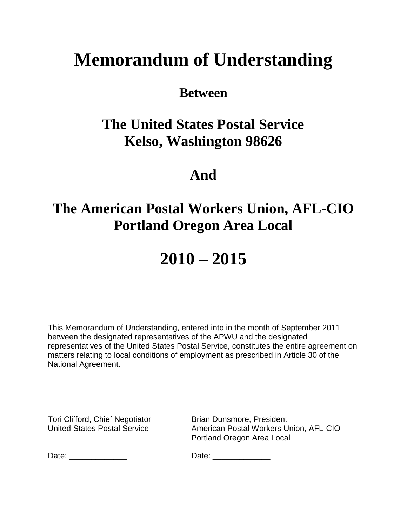# **Memorandum of Understanding**

## **Between**

## **The United States Postal Service Kelso, Washington 98626**

## **And**

## **The American Postal Workers Union, AFL-CIO Portland Oregon Area Local**

## **2010 – 2015**

This Memorandum of Understanding, entered into in the month of September 2011 between the designated representatives of the APWU and the designated representatives of the United States Postal Service, constitutes the entire agreement on matters relating to local conditions of employment as prescribed in Article 30 of the National Agreement.

Tori Clifford, Chief Negotiator Brian Dunsmore, President

\_\_\_\_\_\_\_\_\_\_\_\_\_\_\_\_\_\_\_\_\_\_\_\_\_\_ \_\_\_\_\_\_\_\_\_\_\_\_\_\_\_\_\_\_\_\_\_\_\_\_\_\_ United States Postal Service **American Postal Workers Union, AFL-CIO** Portland Oregon Area Local

Date: \_\_\_\_\_\_\_\_\_\_\_\_\_ Date: \_\_\_\_\_\_\_\_\_\_\_\_\_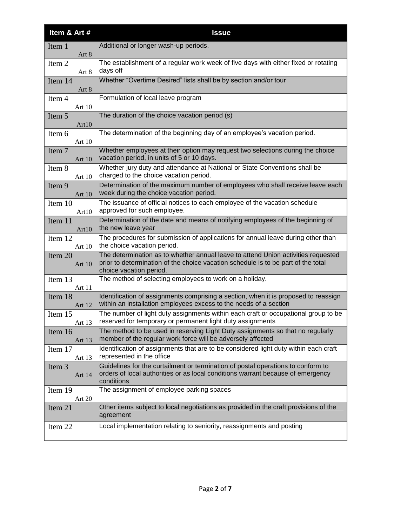| Item & Art #        | <b>Issue</b>                                                                                                                                                                                      |
|---------------------|---------------------------------------------------------------------------------------------------------------------------------------------------------------------------------------------------|
| Item 1<br>Art 8     | Additional or longer wash-up periods.                                                                                                                                                             |
| Item 2<br>Art 8     | The establishment of a regular work week of five days with either fixed or rotating<br>days off                                                                                                   |
| Item 14<br>Art 8    | Whether "Overtime Desired" lists shall be by section and/or tour                                                                                                                                  |
| Item 4<br>Art 10    | Formulation of local leave program                                                                                                                                                                |
| Item 5<br>Art10     | The duration of the choice vacation period (s)                                                                                                                                                    |
| Item 6<br>Art 10    | The determination of the beginning day of an employee's vacation period.                                                                                                                          |
| Item 7<br>Art 10    | Whether employees at their option may request two selections during the choice<br>vacation period, in units of 5 or 10 days.                                                                      |
| Item 8<br>Art 10    | Whether jury duty and attendance at National or State Conventions shall be<br>charged to the choice vacation period.                                                                              |
| Item 9<br>Art 10    | Determination of the maximum number of employees who shall receive leave each<br>week during the choice vacation period.                                                                          |
| Item 10<br>Art10    | The issuance of official notices to each employee of the vacation schedule<br>approved for such employee.                                                                                         |
| Item 11<br>Art10    | Determination of the date and means of notifying employees of the beginning of<br>the new leave year                                                                                              |
| Item 12<br>Art 10   | The procedures for submission of applications for annual leave during other than<br>the choice vacation period.                                                                                   |
| Item 20<br>Art $10$ | The determination as to whether annual leave to attend Union activities requested<br>prior to determination of the choice vacation schedule is to be part of the total<br>choice vacation period. |
| Item 13<br>Art 11   | The method of selecting employees to work on a holiday.                                                                                                                                           |
| Item 18<br>Art 12   | Identification of assignments comprising a section, when it is proposed to reassign<br>within an installation employees excess to the needs of a section                                          |
| Item 15<br>Art 13   | The number of light duty assignments within each craft or occupational group to be<br>reserved for temporary or permanent light duty assignments                                                  |
| Item 16<br>Art 13   | The method to be used in reserving Light Duty assignments so that no regularly<br>member of the regular work force will be adversely affected                                                     |
| Item 17<br>Art 13   | Identification of assignments that are to be considered light duty within each craft<br>represented in the office                                                                                 |
| Item 3<br>Art 14    | Guidelines for the curtailment or termination of postal operations to conform to<br>orders of local authorities or as local conditions warrant because of emergency<br>conditions                 |
| Item 19<br>Art 20   | The assignment of employee parking spaces                                                                                                                                                         |
| Item 21             | Other items subject to local negotiations as provided in the craft provisions of the<br>agreement                                                                                                 |
| Item 22             | Local implementation relating to seniority, reassignments and posting                                                                                                                             |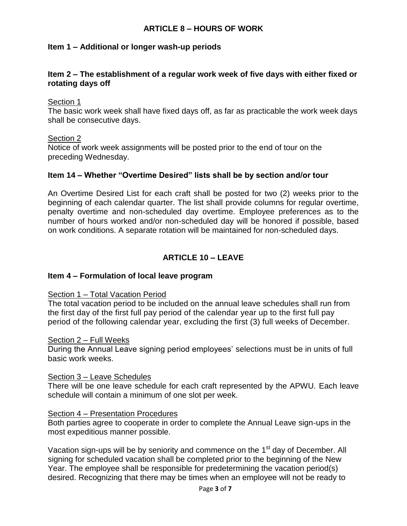#### **ARTICLE 8 – HOURS OF WORK**

#### **Item 1 – Additional or longer wash-up periods**

#### **Item 2 – The establishment of a regular work week of five days with either fixed or rotating days off**

#### Section 1

The basic work week shall have fixed days off, as far as practicable the work week days shall be consecutive days.

#### Section 2

Notice of work week assignments will be posted prior to the end of tour on the preceding Wednesday.

#### **Item 14 – Whether "Overtime Desired" lists shall be by section and/or tour**

An Overtime Desired List for each craft shall be posted for two (2) weeks prior to the beginning of each calendar quarter. The list shall provide columns for regular overtime, penalty overtime and non-scheduled day overtime. Employee preferences as to the number of hours worked and/or non-scheduled day will be honored if possible, based on work conditions. A separate rotation will be maintained for non-scheduled days.

#### **ARTICLE 10 – LEAVE**

#### **Item 4 – Formulation of local leave program**

#### Section 1 - Total Vacation Period

The total vacation period to be included on the annual leave schedules shall run from the first day of the first full pay period of the calendar year up to the first full pay period of the following calendar year, excluding the first (3) full weeks of December.

#### Section 2 – Full Weeks

During the Annual Leave signing period employees' selections must be in units of full basic work weeks.

#### Section 3 – Leave Schedules

There will be one leave schedule for each craft represented by the APWU. Each leave schedule will contain a minimum of one slot per week.

#### Section 4 – Presentation Procedures

Both parties agree to cooperate in order to complete the Annual Leave sign-ups in the most expeditious manner possible.

Vacation sign-ups will be by seniority and commence on the 1<sup>st</sup> day of December. All signing for scheduled vacation shall be completed prior to the beginning of the New Year. The employee shall be responsible for predetermining the vacation period(s) desired. Recognizing that there may be times when an employee will not be ready to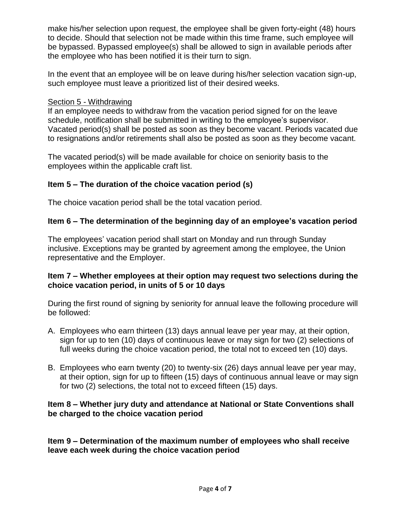make his/her selection upon request, the employee shall be given forty-eight (48) hours to decide. Should that selection not be made within this time frame, such employee will be bypassed. Bypassed employee(s) shall be allowed to sign in available periods after the employee who has been notified it is their turn to sign.

In the event that an employee will be on leave during his/her selection vacation sign-up, such employee must leave a prioritized list of their desired weeks.

#### Section 5 - Withdrawing

If an employee needs to withdraw from the vacation period signed for on the leave schedule, notification shall be submitted in writing to the employee's supervisor. Vacated period(s) shall be posted as soon as they become vacant. Periods vacated due to resignations and/or retirements shall also be posted as soon as they become vacant.

The vacated period(s) will be made available for choice on seniority basis to the employees within the applicable craft list.

## **Item 5 – The duration of the choice vacation period (s)**

The choice vacation period shall be the total vacation period.

## **Item 6 – The determination of the beginning day of an employee's vacation period**

The employees' vacation period shall start on Monday and run through Sunday inclusive. Exceptions may be granted by agreement among the employee, the Union representative and the Employer.

#### **Item 7 – Whether employees at their option may request two selections during the choice vacation period, in units of 5 or 10 days**

During the first round of signing by seniority for annual leave the following procedure will be followed:

- A. Employees who earn thirteen (13) days annual leave per year may, at their option, sign for up to ten (10) days of continuous leave or may sign for two (2) selections of full weeks during the choice vacation period, the total not to exceed ten (10) days.
- B. Employees who earn twenty (20) to twenty-six (26) days annual leave per year may, at their option, sign for up to fifteen (15) days of continuous annual leave or may sign for two (2) selections, the total not to exceed fifteen (15) days.

#### **Item 8 – Whether jury duty and attendance at National or State Conventions shall be charged to the choice vacation period**

**Item 9 – Determination of the maximum number of employees who shall receive leave each week during the choice vacation period**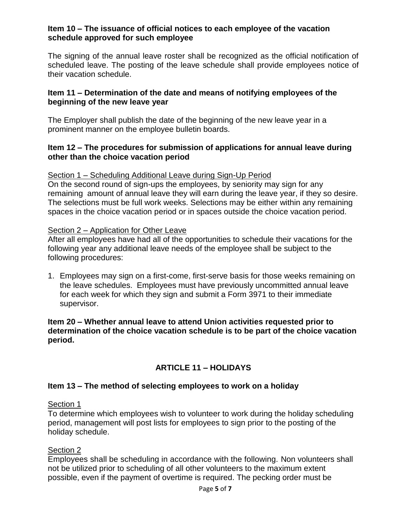#### **Item 10 – The issuance of official notices to each employee of the vacation schedule approved for such employee**

The signing of the annual leave roster shall be recognized as the official notification of scheduled leave. The posting of the leave schedule shall provide employees notice of their vacation schedule.

#### **Item 11 – Determination of the date and means of notifying employees of the beginning of the new leave year**

The Employer shall publish the date of the beginning of the new leave year in a prominent manner on the employee bulletin boards.

#### **Item 12 – The procedures for submission of applications for annual leave during other than the choice vacation period**

#### Section 1 – Scheduling Additional Leave during Sign-Up Period

On the second round of sign-ups the employees, by seniority may sign for any remaining amount of annual leave they will earn during the leave year, if they so desire. The selections must be full work weeks. Selections may be either within any remaining spaces in the choice vacation period or in spaces outside the choice vacation period.

#### Section 2 – Application for Other Leave

After all employees have had all of the opportunities to schedule their vacations for the following year any additional leave needs of the employee shall be subject to the following procedures:

1. Employees may sign on a first-come, first-serve basis for those weeks remaining on the leave schedules. Employees must have previously uncommitted annual leave for each week for which they sign and submit a Form 3971 to their immediate supervisor.

#### **Item 20 – Whether annual leave to attend Union activities requested prior to determination of the choice vacation schedule is to be part of the choice vacation period.**

## **ARTICLE 11 – HOLIDAYS**

## **Item 13 – The method of selecting employees to work on a holiday**

#### Section 1

To determine which employees wish to volunteer to work during the holiday scheduling period, management will post lists for employees to sign prior to the posting of the holiday schedule.

## Section 2

Employees shall be scheduling in accordance with the following. Non volunteers shall not be utilized prior to scheduling of all other volunteers to the maximum extent possible, even if the payment of overtime is required. The pecking order must be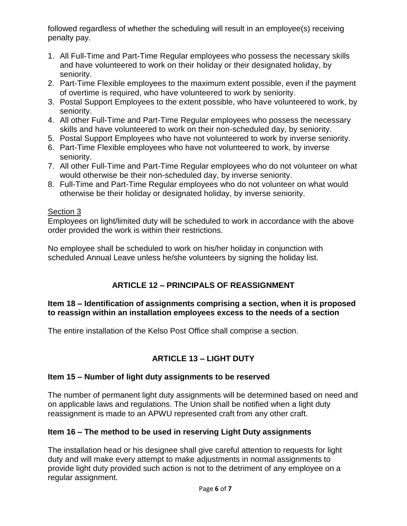followed regardless of whether the scheduling will result in an employee(s) receiving penalty pay.

- 1. All Full-Time and Part-Time Regular employees who possess the necessary skills and have volunteered to work on their holiday or their designated holiday, by seniority.
- 2. Part-Time Flexible employees to the maximum extent possible, even if the payment of overtime is required, who have volunteered to work by seniority.
- 3. Postal Support Employees to the extent possible, who have volunteered to work, by seniority.
- 4. All other Full-Time and Part-Time Regular employees who possess the necessary skills and have volunteered to work on their non-scheduled day, by seniority.
- 5. Postal Support Employees who have not volunteered to work by inverse seniority.
- 6. Part-Time Flexible employees who have not volunteered to work, by inverse seniority.
- 7. All other Full-Time and Part-Time Regular employees who do not volunteer on what would otherwise be their non-scheduled day, by inverse seniority.
- 8. Full-Time and Part-Time Regular employees who do not volunteer on what would otherwise be their holiday or designated holiday, by inverse seniority.

## Section 3

Employees on light/limited duty will be scheduled to work in accordance with the above order provided the work is within their restrictions.

No employee shall be scheduled to work on his/her holiday in conjunction with scheduled Annual Leave unless he/she volunteers by signing the holiday list.

## **ARTICLE 12 – PRINCIPALS OF REASSIGNMENT**

## **Item 18 – Identification of assignments comprising a section, when it is proposed to reassign within an installation employees excess to the needs of a section**

The entire installation of the Kelso Post Office shall comprise a section.

## **ARTICLE 13 – LIGHT DUTY**

## **Item 15 – Number of light duty assignments to be reserved**

The number of permanent light duty assignments will be determined based on need and on applicable laws and regulations. The Union shall be notified when a light duty reassignment is made to an APWU represented craft from any other craft.

## **Item 16 – The method to be used in reserving Light Duty assignments**

The installation head or his designee shall give careful attention to requests for light duty and will make every attempt to make adjustments in normal assignments to provide light duty provided such action is not to the detriment of any employee on a regular assignment.